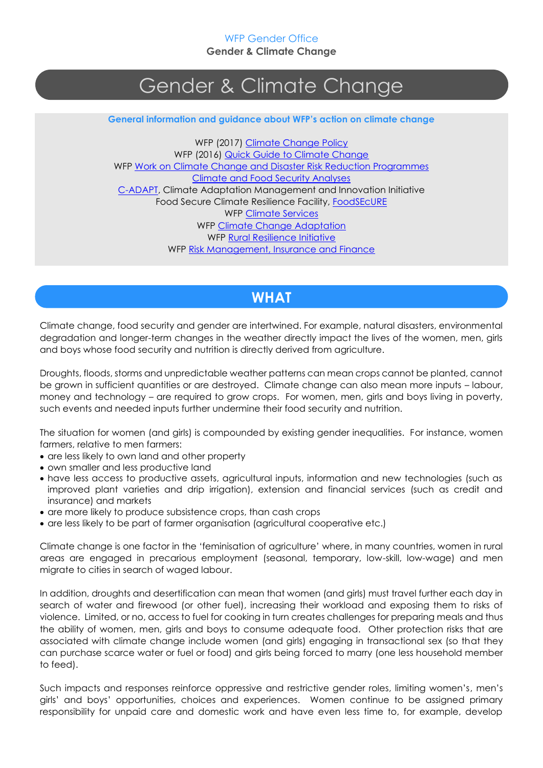# Gender & Climate Change

**General information and guidance about WFP's action on climate change**

WFP (2017) [Climate Change Policy](http://newgo.wfp.org/documents/climate-change-policy) WFP (2016) [Quick Guide to Climate Change](https://www.wfp.org/stories/quick-guide-climate-change) WFP Work on [Climate Change and Disaster Risk Reduction Programmes](http://newgo.wfp.org/documents/wfps-work-climate-and-drr-programmes) [Climate and Food Security Analyses](https://www.wfp.org/climate-change/innovations/analyses) [C-ADAPT,](http://www.wfp.org/climate-change/initiatives/c-adapt) Climate Adaptation Management and Innovation Initiative Food Secure Climate Resilience Facility, [FoodSEcURE](http://www.wfp.org/climate-change/initiatives/foodsecure) WFP [Climate Services](http://www.wfp.org/climate-change/innovations/climate-services) WFP [Climate Change Adaptation](http://www.wfp.org/climate-change/innovations/adaptation) WFP [Rural Resilience Initiative](http://www.wfp.org/climate-change/initiatives/r4-rural-resilience-initiative) WFP [Risk Management, Insurance and Finance](http://www.wfp.org/climate-change/innovations/risk-management-insurance-finance)

## **WHAT**

Climate change, food security and gender are intertwined. For example, natural disasters, environmental degradation and longer-term changes in the weather directly impact the lives of the women, men, girls and boys whose food security and nutrition is directly derived from agriculture.

Droughts, floods, storms and unpredictable weather patterns can mean crops cannot be planted, cannot be grown in sufficient quantities or are destroyed. Climate change can also mean more inputs – labour, money and technology – are required to grow crops. For women, men, girls and boys living in poverty, such events and needed inputs further undermine their food security and nutrition.

The situation for women (and girls) is compounded by existing gender inequalities. For instance, women farmers, relative to men farmers:

- are less likely to own land and other property
- own smaller and less productive land
- have less access to productive assets, agricultural inputs, information and new technologies (such as improved plant varieties and drip irrigation), extension and financial services (such as credit and insurance) and markets
- are more likely to produce subsistence crops, than cash crops
- are less likely to be part of farmer organisation (agricultural cooperative etc.)

Climate change is one factor in the 'feminisation of agriculture' where, in many countries, women in rural areas are engaged in precarious employment (seasonal, temporary, low-skill, low-wage) and men migrate to cities in search of waged labour.

In addition, droughts and desertification can mean that women (and girls) must travel further each day in search of water and firewood (or other fuel), increasing their workload and exposing them to risks of violence. Limited, or no, access to fuel for cooking in turn creates challenges for preparing meals and thus the ability of women, men, girls and boys to consume adequate food. Other protection risks that are associated with climate change include women (and girls) engaging in transactional sex (so that they can purchase scarce water or fuel or food) and girls being forced to marry (one less household member to feed).

Such impacts and responses reinforce oppressive and restrictive gender roles, limiting women's, men's girls' and boys' opportunities, choices and experiences. Women continue to be assigned primary responsibility for unpaid care and domestic work and have even less time to, for example, develop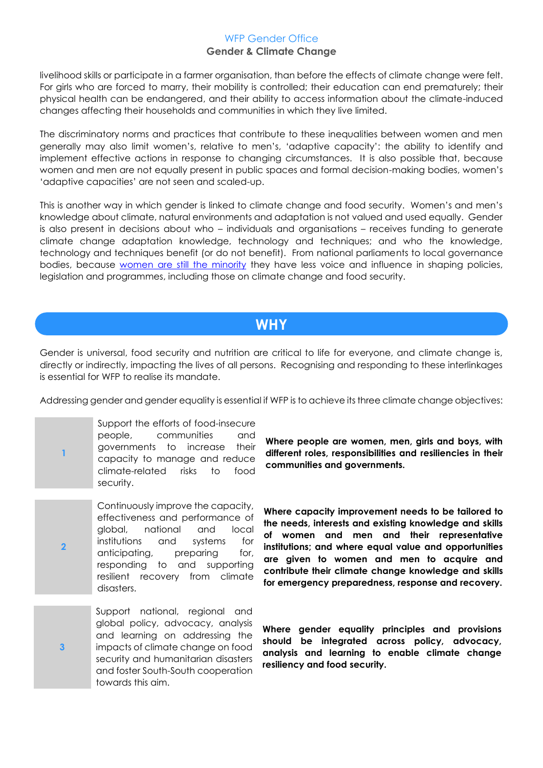livelihood skills or participate in a farmer organisation, than before the effects of climate change were felt. For girls who are forced to marry, their mobility is controlled; their education can end prematurely; their physical health can be endangered, and their ability to access information about the climate-induced changes affecting their households and communities in which they live limited.

The discriminatory norms and practices that contribute to these inequalities between women and men generally may also limit women's, relative to men's, 'adaptive capacity': the ability to identify and implement effective actions in response to changing circumstances. It is also possible that, because women and men are not equally present in public spaces and formal decision-making bodies, women's 'adaptive capacities' are not seen and scaled-up.

This is another way in which gender is linked to climate change and food security. Women's and men's knowledge about climate, natural environments and adaptation is not valued and used equally. Gender is also present in decisions about who – individuals and organisations – receives funding to generate climate change adaptation knowledge, technology and techniques; and who the knowledge, technology and techniques benefit (or do not benefit). From national parliaments to local governance bodies, because [women are still the minority](http://www.ipu.org/wmn-e/classif.htm) they have less voice and influence in shaping policies, legislation and programmes, including those on climate change and food security.

## **WHY**

Gender is universal, food security and nutrition are critical to life for everyone, and climate change is, directly or indirectly, impacting the lives of all persons. Recognising and responding to these interlinkages is essential for WFP to realise its mandate.

Addressing gender and gender equality is essential if WFP is to achieve its three climate change objectives:

**1** Support the efforts of food-insecure people, communities and governments to increase their capacity to manage and reduce climate-related risks to food security.

**2** Continuously improve the capacity, effectiveness and performance of global, national and local institutions and systems for anticipating, preparing for, responding to and supporting resilient recovery from climate disasters.

**3** Support national, regional and global policy, advocacy, analysis and learning on addressing the impacts of climate change on food security and humanitarian disasters and foster South-South cooperation towards this aim.

**Where people are women, men, girls and boys, with different roles, responsibilities and resiliencies in their communities and governments.**

**Where capacity improvement needs to be tailored to the needs, interests and existing knowledge and skills of women and men and their representative institutions; and where equal value and opportunities are given to women and men to acquire and contribute their climate change knowledge and skills for emergency preparedness, response and recovery.**

**Where gender equality principles and provisions should be integrated across policy, advocacy, analysis and learning to enable climate change resiliency and food security.**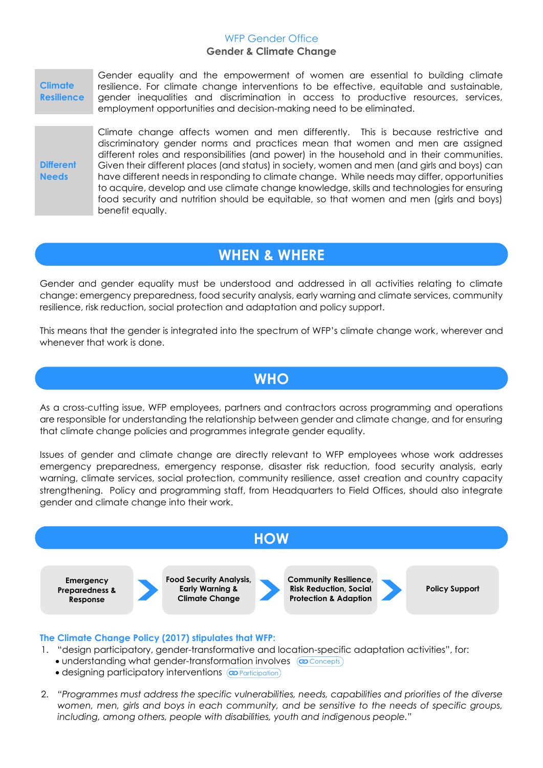**Climate Resilience**

Gender equality and the empowerment of women are essential to building climate resilience. For climate change interventions to be effective, equitable and sustainable, gender inequalities and discrimination in access to productive resources, services, employment opportunities and decision-making need to be eliminated.

**Different Needs**

Climate change affects women and men differently. This is because restrictive and discriminatory gender norms and practices mean that women and men are assigned different roles and responsibilities (and power) in the household and in their communities. Given their different places (and status) in society, women and men (and girls and boys) can have different needs in responding to climate change. While needs may differ, opportunities to acquire, develop and use climate change knowledge, skills and technologies for ensuring food security and nutrition should be equitable, so that women and men (girls and boys) benefit equally.

## **WHEN & WHERE**

Gender and gender equality must be understood and addressed in all activities relating to climate change: emergency preparedness, food security analysis, early warning and climate services, community resilience, risk reduction, social protection and adaptation and policy support.

This means that the gender is integrated into the spectrum of WFP's climate change work, wherever and whenever that work is done.

## **WHO**

As a cross-cutting issue, WFP employees, partners and contractors across programming and operations are responsible for understanding the relationship between gender and climate change, and for ensuring that climate change policies and programmes integrate gender equality.

Issues of gender and climate change are directly relevant to WFP employees whose work addresses emergency preparedness, emergency response, disaster risk reduction, food security analysis, early warning, climate services, social protection, community resilience, asset creation and country capacity strengthening. Policy and programming staff, from Headquarters to Field Offices, should also integrate gender and climate change into their work.



### **The Climate Change Policy (2017) stipulates that WFP:**

- 1. "design participatory, gender-transformative and location-specific adaptation activities", for:
	- understanding what gender-transformation involves @ Concepts
	- · designing participatory interventions @ Participation
- 2. *"Programmes must address the specific vulnerabilities, needs, capabilities and priorities of the diverse women, men, girls and boys in each community, and be sensitive to the needs of specific groups, including, among others, people with disabilities, youth and indigenous people."*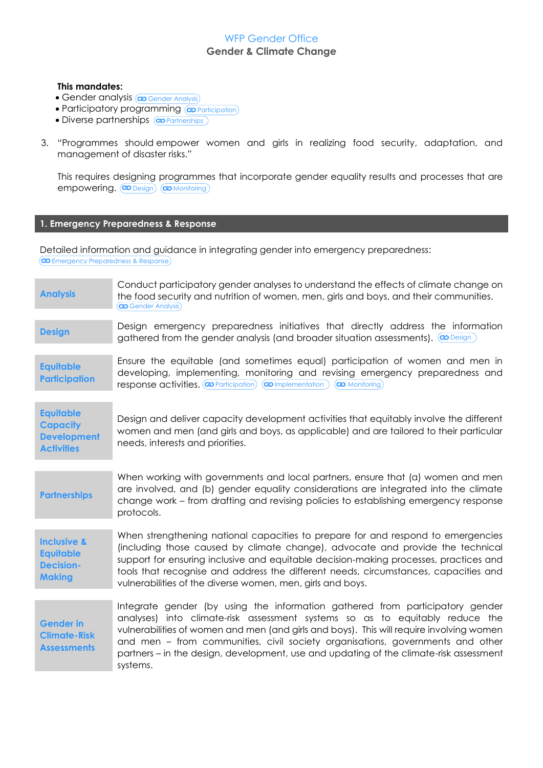#### **This mandates:**

- **Gender analysis @Gender Analysis**
- Participatory programming @ Participation
- Diverse partnerships **@Partnerships**
- 3. "Programmes should empower women and girls in realizing food security, adaptation, and management of disaster risks."

This requires designing programmes that incorporate gender equality results and processes that are empowering. **@Design** @Monitoring

#### **1. Emergency Preparedness & Response**

Detailed information and guidance in integrating gender into emergency preparedness:

Emergency Preparedness & Response

| <b>Analysis</b>                                                                 | Conduct participatory gender analyses to understand the effects of climate change on<br>the food security and nutrition of women, men, girls and boys, and their communities.<br>$\left(\boldsymbol{\omega}\right)$ Gender Analysis)                                                                                                                                                                                                              |
|---------------------------------------------------------------------------------|---------------------------------------------------------------------------------------------------------------------------------------------------------------------------------------------------------------------------------------------------------------------------------------------------------------------------------------------------------------------------------------------------------------------------------------------------|
| <b>Design</b>                                                                   | Design emergency preparedness initiatives that directly address the information<br>gathered from the gender analysis (and broader situation assessments). ( <b>a</b> Design)                                                                                                                                                                                                                                                                      |
| <b>Equitable</b><br><b>Participation</b>                                        | Ensure the equitable (and sometimes equal) participation of women and men in<br>developing, implementing, monitoring and revising emergency preparedness and<br>response activities. (@ Participation) (@ Implementation)<br>(co Monitoring)                                                                                                                                                                                                      |
| <b>Equitable</b><br><b>Capacity</b><br><b>Development</b><br><b>Activities</b>  | Design and deliver capacity development activities that equitably involve the different<br>women and men (and girls and boys, as applicable) and are tailored to their particular<br>needs, interests and priorities.                                                                                                                                                                                                                             |
| <b>Partnerships</b>                                                             | When working with governments and local partners, ensure that (a) women and men<br>are involved, and (b) gender equality considerations are integrated into the climate<br>change work - from drafting and revising policies to establishing emergency response<br>protocols.                                                                                                                                                                     |
| <b>Inclusive &amp;</b><br><b>Equitable</b><br><b>Decision-</b><br><b>Making</b> | When strengthening national capacities to prepare for and respond to emergencies<br>(including those caused by climate change), advocate and provide the technical<br>support for ensuring inclusive and equitable decision-making processes, practices and<br>tools that recognise and address the different needs, circumstances, capacities and<br>vulnerabilities of the diverse women, men, girls and boys.                                  |
| <b>Gender in</b><br><b>Climate-Risk</b><br><b>Assessments</b>                   | Integrate gender (by using the information gathered from participatory gender<br>analyses) into climate-risk assessment systems so as to equitably reduce the<br>vulnerabilities of women and men (and girls and boys). This will require involving women<br>and men – from communities, civil society organisations, governments and other<br>partners - in the design, development, use and updating of the climate-risk assessment<br>systems. |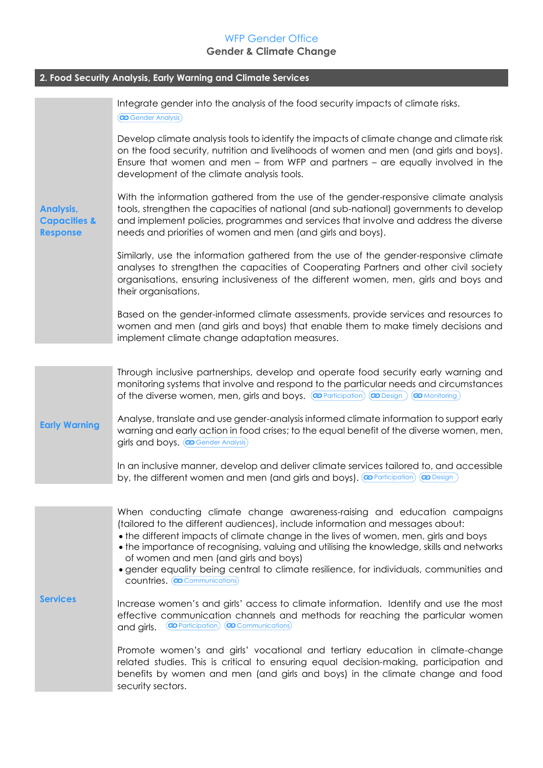| 2. Food Security Analysis, Early Warning and Climate Services  |                                                                                                                                                                                                                                                                                                                                                                                          |
|----------------------------------------------------------------|------------------------------------------------------------------------------------------------------------------------------------------------------------------------------------------------------------------------------------------------------------------------------------------------------------------------------------------------------------------------------------------|
|                                                                | Integrate gender into the analysis of the food security impacts of climate risks.<br>$(\mathbf{\infty}$ Gender Analysis)                                                                                                                                                                                                                                                                 |
| <b>Analysis,</b><br><b>Capacities &amp;</b><br><b>Response</b> | Develop climate analysis tools to identify the impacts of climate change and climate risk<br>on the food security, nutrition and livelihoods of women and men (and girls and boys).<br>Ensure that women and men – from WFP and partners – are equally involved in the<br>development of the climate analysis tools.                                                                     |
|                                                                | With the information gathered from the use of the gender-responsive climate analysis<br>tools, strengthen the capacities of national (and sub-national) governments to develop<br>and implement policies, programmes and services that involve and address the diverse<br>needs and priorities of women and men (and girls and boys).                                                    |
|                                                                | Similarly, use the information gathered from the use of the gender-responsive climate<br>analyses to strengthen the capacities of Cooperating Partners and other civil society<br>organisations, ensuring inclusiveness of the different women, men, girls and boys and<br>their organisations.                                                                                          |
|                                                                | Based on the gender-informed climate assessments, provide services and resources to<br>women and men (and girls and boys) that enable them to make timely decisions and<br>implement climate change adaptation measures.                                                                                                                                                                 |
|                                                                | Through inclusive partnerships, develop and operate food security early warning and                                                                                                                                                                                                                                                                                                      |
| <b>Early Warning</b>                                           | monitoring systems that involve and respond to the particular needs and circumstances<br>of the diverse women, men, girls and boys. $(\mathbf{w}$ Participation) $(\mathbf{w}$ Design)<br>(co Monitoring)                                                                                                                                                                                |
|                                                                | Analyse, translate and use gender-analysis informed climate information to support early<br>warning and early action in food crises; to the equal benefit of the diverse women, men,<br>girls and boys. (@Gender Analysis)                                                                                                                                                               |
|                                                                | In an inclusive manner, develop and deliver climate services tailored to, and accessible<br>by, the different women and men (and girls and boys). <b>@</b> Participation)<br>(co Design                                                                                                                                                                                                  |
|                                                                |                                                                                                                                                                                                                                                                                                                                                                                          |
| <b>Services</b>                                                | When conducting climate change awareness-raising and education campaigns<br>(tailored to the different audiences), include information and messages about:<br>• the different impacts of climate change in the lives of women, men, girls and boys<br>• the importance of recognising, valuing and utilising the knowledge, skills and networks<br>of women and men (and girls and boys) |
|                                                                | • gender equality being central to climate resilience, for individuals, communities and<br>countries. (@Communications)                                                                                                                                                                                                                                                                  |
|                                                                | Increase women's and girls' access to climate information. Identify and use the most<br>effective communication channels and methods for reaching the particular women<br>(@ Participation) (@ Communications)<br>and girls.                                                                                                                                                             |
|                                                                | Promote women's and girls' vocational and tertiary education in climate-change<br>related studies. This is critical to ensuring equal decision-making, participation and<br>benefits by women and men (and girls and boys) in the climate change and food<br>security sectors.                                                                                                           |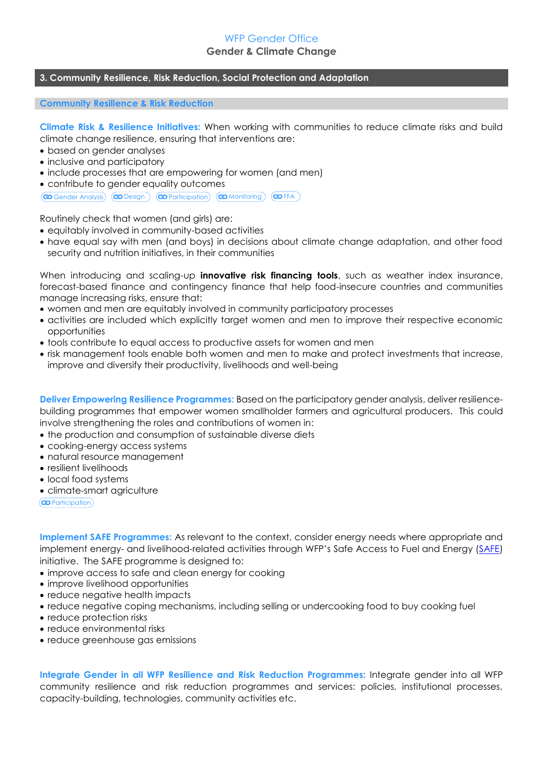### WFP Gender Office

#### **Gender & Climate Change**

#### **3. Community Resilience, Risk Reduction, Social Protection and Adaptation**

#### **Community Resilience & Risk Reduction**

**Climate Risk & Resilience Initiatives:** When working with communities to reduce climate risks and build climate change resilience, ensuring that interventions are:

- based on gender analyses
- inclusive and participatory
- include processes that are empowering for women (and men)
- contribute to gender equality outcomes

 $\overline{(\mathbf{\omega} \text{ Genetic Analysis})}$   $\overline{(\mathbf{\omega} \text{ Design})}$   $\overline{(\mathbf{\omega} \text{ participation})}$   $\overline{(\mathbf{\omega} \text{ monitoring})}$   $\overline{(\mathbf{\omega} \text{ FFA})}$ 

Routinely check that women (and girls) are:

- equitably involved in community-based activities
- have equal say with men (and boys) in decisions about climate change adaptation, and other food security and nutrition initiatives, in their communities

When introducing and scaling-up **innovative risk financing tools**, such as weather index insurance, forecast-based finance and contingency finance that help food-insecure countries and communities manage increasing risks, ensure that:

- women and men are equitably involved in community participatory processes
- activities are included which explicitly target women and men to improve their respective economic opportunities
- tools contribute to equal access to productive assets for women and men
- risk management tools enable both women and men to make and protect investments that increase, improve and diversify their productivity, livelihoods and well-being

**Deliver Empowering Resilience Programmes:** Based on the participatory gender analysis, deliver resiliencebuilding programmes that empower women smallholder farmers and agricultural producers. This could involve strengthening the roles and contributions of women in:

- the production and consumption of sustainable diverse diets
- cooking-energy access systems
- natural resource management
- resilient livelihoods
- local food systems
- climate-smart agriculture

(**@** Participation)

**Implement SAFE Programmes:** As relevant to the context, consider energy needs where appropriate and implement energy- and livelihood-related activities through WFP's Safe Access to Fuel and Energy [\(SAFE\)](http://www.wfp.org/climate-change/initiatives/safe) initiative. The SAFE programme is designed to:

- improve access to safe and clean energy for cooking
- improve livelihood opportunities
- reduce negative health impacts
- reduce negative coping mechanisms, including selling or undercooking food to buy cooking fuel
- reduce protection risks
- reduce environmental risks
- reduce greenhouse gas emissions

**Integrate Gender in all WFP Resilience and Risk Reduction Programmes:** Integrate gender into all WFP community resilience and risk reduction programmes and services: policies, institutional processes, capacity-building, technologies, community activities etc.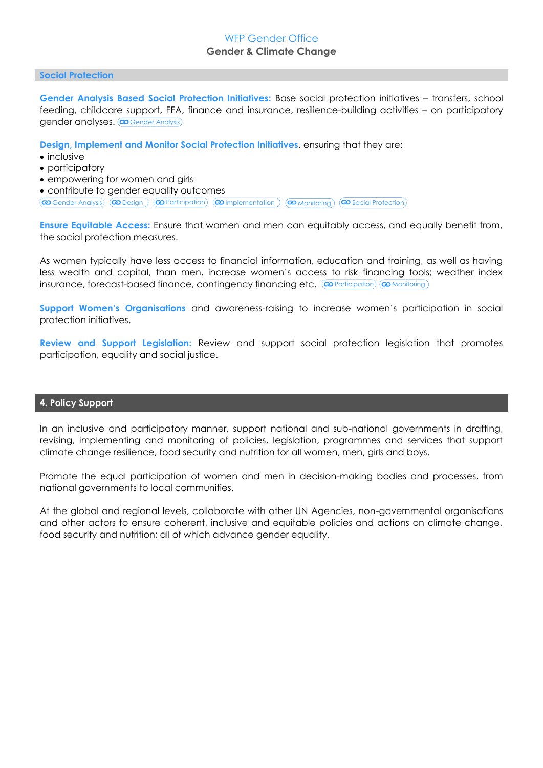#### **Social Protection**

**Gender Analysis Based Social Protection Initiatives:** Base social protection initiatives – transfers, school feeding, childcare support, FFA, finance and insurance, resilience-building activities – on participatory gender analyses. **@ Gender Analysis** 

**Design, Implement and Monitor Social Protection Initiatives**, ensuring that they are:

- inclusive
- participatory
- empowering for women and girls

contribute to gender equality outcomes

 $\circledR$  Gender Analysis)  $\circledR$  Design  $\circledR$  Participation  $\circledR$  Implementation  $\circledR$  Monitoring  $\circledR$  Social Protection

**Ensure Equitable Access:** Ensure that women and men can equitably access, and equally benefit from, the social protection measures.

As women typically have less access to financial information, education and training, as well as having less wealth and capital, than men, increase women's access to risk financing tools; weather index insurance, forecast-based finance, contingency financing etc. (@Participation) (@Monitoring

**Support Women's Organisations** and awareness-raising to increase women's participation in social protection initiatives.

**Review and Support Legislation:** Review and support social protection legislation that promotes participation, equality and social justice.

#### **4. Policy Support**

In an inclusive and participatory manner, support national and sub-national governments in drafting, revising, implementing and monitoring of policies, legislation, programmes and services that support climate change resilience, food security and nutrition for all women, men, girls and boys.

Promote the equal participation of women and men in decision-making bodies and processes, from national governments to local communities.

At the global and regional levels, collaborate with other UN Agencies, non-governmental organisations and other actors to ensure coherent, inclusive and equitable policies and actions on climate change, food security and nutrition; all of which advance gender equality.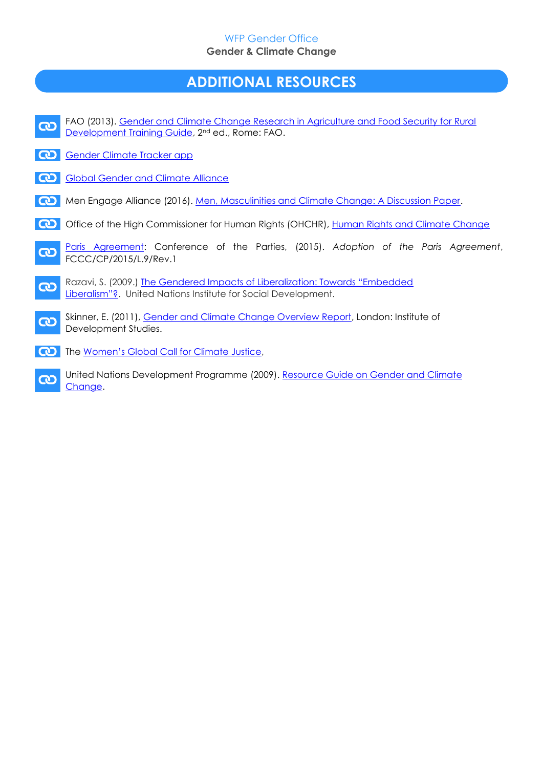## **ADDITIONAL RESOURCES**



[Change.](http://www.undp.org/content/undp/en/home/librarypage/womens-empowerment/resource-guide-on-gender-and-climate-change.html)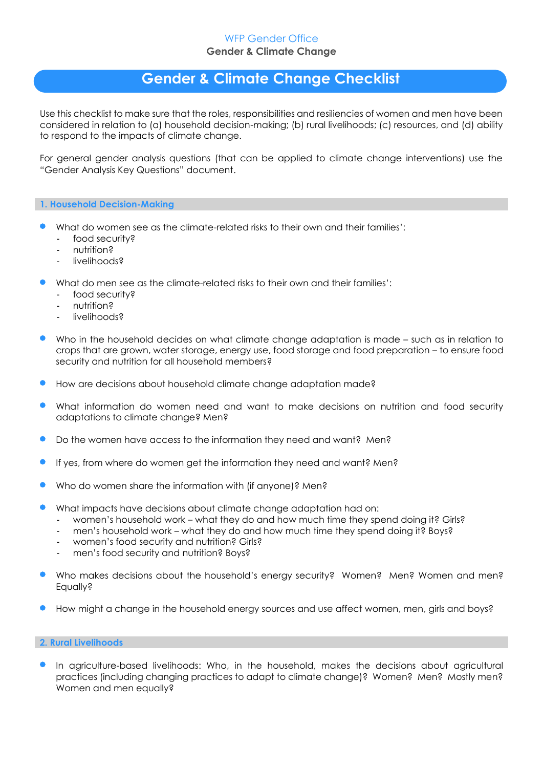## **Gender & Climate Change Checklist**

Use this checklist to make sure that the roles, responsibilities and resiliencies of women and men have been considered in relation to (a) household decision-making; (b) rural livelihoods; (c) resources, and (d) ability to respond to the impacts of climate change.

For general gender analysis questions (that can be applied to climate change interventions) use the "Gender Analysis Key Questions" document.

#### **1. Household Decision-Making**

- What do women see as the climate-related risks to their own and their families':
	- food security?
	- nutrition?

 $\mathcal{L}(\mathcal{X})$ 

- livelihoods?
- What do men see as the climate-related risks to their own and their families':
	- food security?
	- nutrition?
	- livelihoods?
- Who in the household decides on what climate change adaptation is made such as in relation to crops that are grown, water storage, energy use, food storage and food preparation – to ensure food security and nutrition for all household members?
- How are decisions about household climate change adaptation made?
- What information do women need and want to make decisions on nutrition and food security adaptations to climate change? Men?
- Do the women have access to the information they need and want? Men?
- If yes, from where do women get the information they need and want? Men?
- Who do women share the information with (if anyone)? Men?
- What impacts have decisions about climate change adaptation had on:
	- women's household work what they do and how much time they spend doing it? Girls?
	- men's household work what they do and how much time they spend doing it? Boys?
	- women's food security and nutrition? Girls?
	- men's food security and nutrition? Boys?
- Who makes decisions about the household's energy security? Women? Men? Women and men? Equally?
- How might a change in the household energy sources and use affect women, men, girls and boys?

#### **2. Rural Livelihoods**

 In agriculture-based livelihoods: Who, in the household, makes the decisions about agricultural practices (including changing practices to adapt to climate change)? Women? Men? Mostly men? Women and men equally?